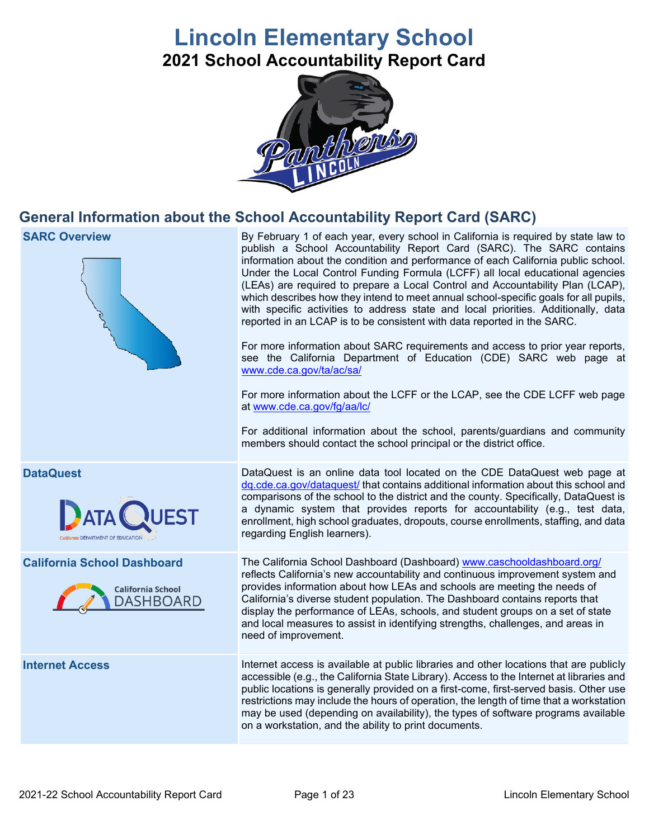# **Lincoln Elementary School 2021 School Accountability Report Card**



# **General Information about the School Accountability Report Card (SARC)**



**SARC Overview** By February 1 of each year, every school in California is required by state law to publish a School Accountability Report Card (SARC). The SARC contains information about the condition and performance of each California public school. Under the Local Control Funding Formula (LCFF) all local educational agencies (LEAs) are required to prepare a Local Control and Accountability Plan (LCAP), which describes how they intend to meet annual school-specific goals for all pupils, with specific activities to address state and local priorities. Additionally, data reported in an LCAP is to be consistent with data reported in the SARC.

> For more information about SARC requirements and access to prior year reports, see the California Department of Education (CDE) SARC web page at [www.cde.ca.gov/ta/ac/sa/](https://www.cde.ca.gov/ta/ac/sa/)

> For more information about the LCFF or the LCAP, see the CDE LCFF web page at [www.cde.ca.gov/fg/aa/lc/](https://www.cde.ca.gov/fg/aa/lc/)

> For additional information about the school, parents/guardians and community members should contact the school principal or the district office.

**DataQuest** DataQuest **DataQuest** is an online data tool located on the CDE DataQuest web page at [dq.cde.ca.gov/dataquest/](https://dq.cde.ca.gov/dataquest/) that contains additional information about this school and comparisons of the school to the district and the county. Specifically, DataQuest is a dynamic system that provides reports for accountability (e.g., test data, enrollment, high school graduates, dropouts, course enrollments, staffing, and data regarding English learners).

**California School Dashboard** The California School Dashboard (Dashboard) [www.caschooldashboard.org/](http://www.caschooldashboard.org/) reflects California's new accountability and continuous improvement system and provides information about how LEAs and schools are meeting the needs of California's diverse student population. The Dashboard contains reports that display the performance of LEAs, schools, and student groups on a set of state and local measures to assist in identifying strengths, challenges, and areas in need of improvement.

**Internet Access Internet access is available at public libraries and other locations that are publicly** accessible (e.g., the California State Library). Access to the Internet at libraries and public locations is generally provided on a first-come, first-served basis. Other use restrictions may include the hours of operation, the length of time that a workstation may be used (depending on availability), the types of software programs available on a workstation, and the ability to print documents.



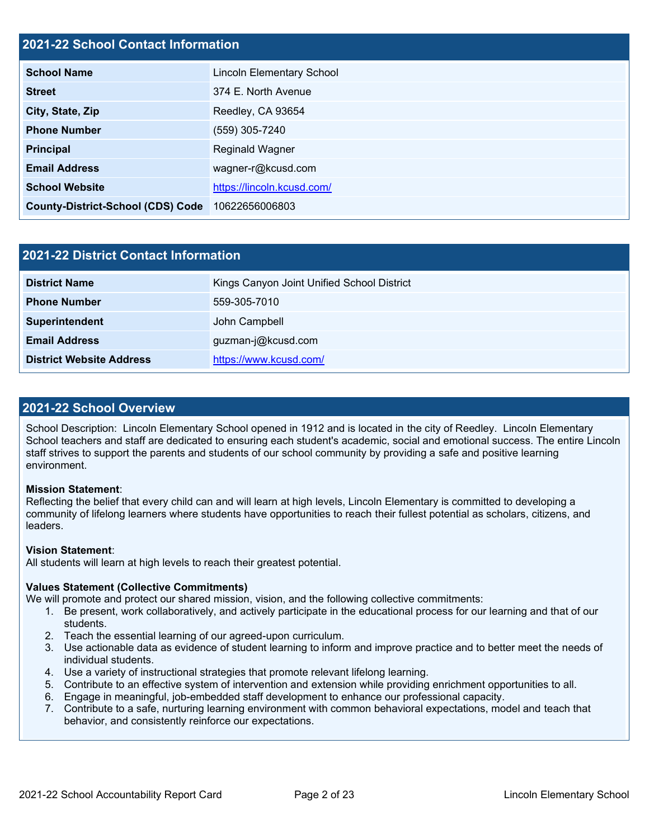#### **2021-22 School Contact Information**

| <b>School Name</b>                       | <b>Lincoln Elementary School</b> |  |  |  |  |
|------------------------------------------|----------------------------------|--|--|--|--|
| <b>Street</b>                            | 374 E. North Avenue              |  |  |  |  |
| City, State, Zip                         | Reedley, CA 93654                |  |  |  |  |
| <b>Phone Number</b>                      | (559) 305-7240                   |  |  |  |  |
| <b>Principal</b>                         | Reginald Wagner                  |  |  |  |  |
| <b>Email Address</b>                     | wagner-r@kcusd.com               |  |  |  |  |
| <b>School Website</b>                    | https://lincoln.kcusd.com/       |  |  |  |  |
| <b>County-District-School (CDS) Code</b> | 10622656006803                   |  |  |  |  |

| 2021-22 District Contact Information |                                            |  |  |  |  |
|--------------------------------------|--------------------------------------------|--|--|--|--|
| <b>District Name</b>                 | Kings Canyon Joint Unified School District |  |  |  |  |
| <b>Phone Number</b>                  | 559-305-7010                               |  |  |  |  |
| Superintendent                       | John Campbell                              |  |  |  |  |
| <b>Email Address</b>                 | guzman-j@kcusd.com                         |  |  |  |  |
| <b>District Website Address</b>      | https://www.kcusd.com/                     |  |  |  |  |

#### **2021-22 School Overview**

School Description: Lincoln Elementary School opened in 1912 and is located in the city of Reedley. Lincoln Elementary School teachers and staff are dedicated to ensuring each student's academic, social and emotional success. The entire Lincoln staff strives to support the parents and students of our school community by providing a safe and positive learning environment.

#### **Mission Statement**:

Reflecting the belief that every child can and will learn at high levels, Lincoln Elementary is committed to developing a community of lifelong learners where students have opportunities to reach their fullest potential as scholars, citizens, and leaders.

#### **Vision Statement**:

All students will learn at high levels to reach their greatest potential.

#### **Values Statement (Collective Commitments)**

We will promote and protect our shared mission, vision, and the following collective commitments:

- 1. Be present, work collaboratively, and actively participate in the educational process for our learning and that of our students.
- 2. Teach the essential learning of our agreed-upon curriculum.
- 3. Use actionable data as evidence of student learning to inform and improve practice and to better meet the needs of individual students.
- 4. Use a variety of instructional strategies that promote relevant lifelong learning.
- 5. Contribute to an effective system of intervention and extension while providing enrichment opportunities to all.
- 6. Engage in meaningful, job-embedded staff development to enhance our professional capacity.
- 7. Contribute to a safe, nurturing learning environment with common behavioral expectations, model and teach that behavior, and consistently reinforce our expectations.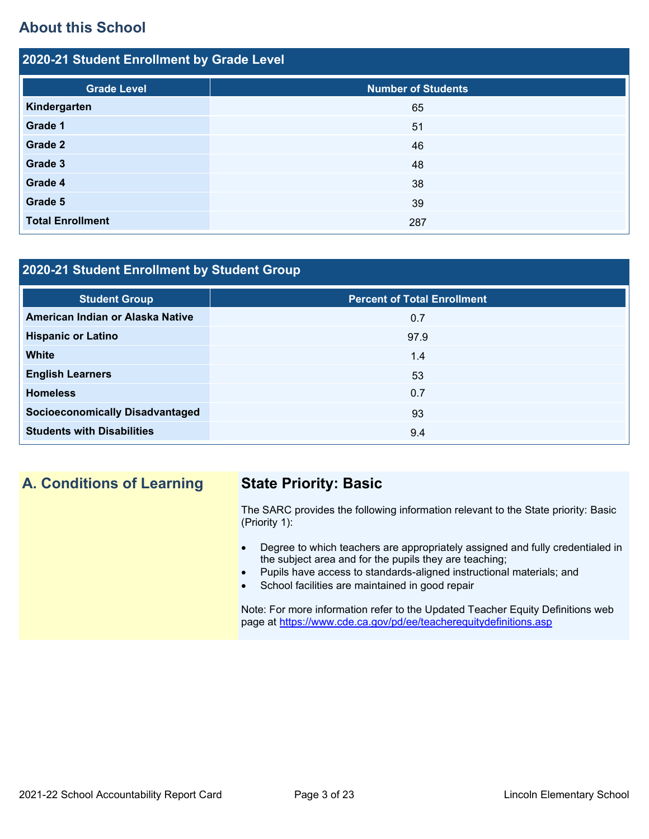# **About this School**

| 2020-21 Student Enrollment by Grade Level |                           |  |  |  |  |  |
|-------------------------------------------|---------------------------|--|--|--|--|--|
| <b>Grade Level</b>                        | <b>Number of Students</b> |  |  |  |  |  |
| Kindergarten                              | 65                        |  |  |  |  |  |
| Grade 1                                   | 51                        |  |  |  |  |  |
| Grade 2                                   | 46                        |  |  |  |  |  |
| Grade 3                                   | 48                        |  |  |  |  |  |
| Grade 4                                   | 38                        |  |  |  |  |  |
| Grade 5                                   | 39                        |  |  |  |  |  |
| <b>Total Enrollment</b>                   | 287                       |  |  |  |  |  |

### **2020-21 Student Enrollment by Student Group**

| <b>Student Group</b>                   | <b>Percent of Total Enrollment</b> |
|----------------------------------------|------------------------------------|
| American Indian or Alaska Native       | 0.7                                |
| <b>Hispanic or Latino</b>              | 97.9                               |
| <b>White</b>                           | 1.4                                |
| <b>English Learners</b>                | 53                                 |
| <b>Homeless</b>                        | 0.7                                |
| <b>Socioeconomically Disadvantaged</b> | 93                                 |
| <b>Students with Disabilities</b>      | 9.4                                |

# **A. Conditions of Learning State Priority: Basic**

The SARC provides the following information relevant to the State priority: Basic (Priority 1):

- Degree to which teachers are appropriately assigned and fully credentialed in the subject area and for the pupils they are teaching;
	- Pupils have access to standards-aligned instructional materials; and
- School facilities are maintained in good repair

Note: For more information refer to the Updated Teacher Equity Definitions web page at<https://www.cde.ca.gov/pd/ee/teacherequitydefinitions.asp>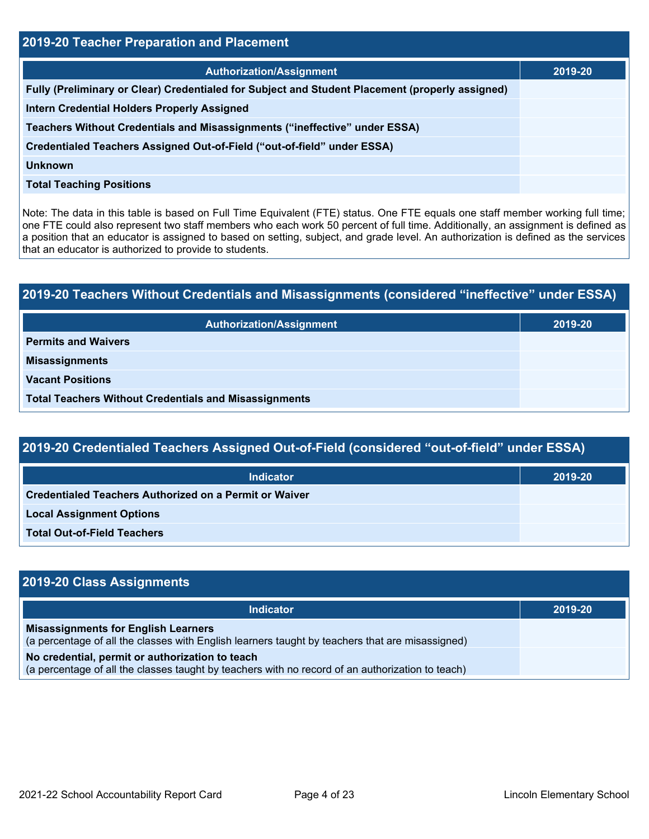| 2019-20 Teacher Preparation and Placement                                                       |         |  |  |  |
|-------------------------------------------------------------------------------------------------|---------|--|--|--|
| <b>Authorization/Assignment</b>                                                                 | 2019-20 |  |  |  |
| Fully (Preliminary or Clear) Credentialed for Subject and Student Placement (properly assigned) |         |  |  |  |
| <b>Intern Credential Holders Properly Assigned</b>                                              |         |  |  |  |
| Teachers Without Credentials and Misassignments ("ineffective" under ESSA)                      |         |  |  |  |
| Credentialed Teachers Assigned Out-of-Field ("out-of-field" under ESSA)                         |         |  |  |  |
| <b>Unknown</b>                                                                                  |         |  |  |  |
| <b>Total Teaching Positions</b>                                                                 |         |  |  |  |

Note: The data in this table is based on Full Time Equivalent (FTE) status. One FTE equals one staff member working full time; one FTE could also represent two staff members who each work 50 percent of full time. Additionally, an assignment is defined as a position that an educator is assigned to based on setting, subject, and grade level. An authorization is defined as the services that an educator is authorized to provide to students.

# **2019-20 Teachers Without Credentials and Misassignments (considered "ineffective" under ESSA) Authorization/Assignment 2019-20 Permits and Waivers Misassignments Vacant Positions Total Teachers Without Credentials and Misassignments**

## **2019-20 Credentialed Teachers Assigned Out-of-Field (considered "out-of-field" under ESSA)**

| <b>Indicator</b>                                       | 2019-20 |
|--------------------------------------------------------|---------|
| Credentialed Teachers Authorized on a Permit or Waiver |         |
| <b>Local Assignment Options</b>                        |         |
| <b>Total Out-of-Field Teachers</b>                     |         |

| 2019-20 Class Assignments                                                                                                                           |         |  |  |  |  |
|-----------------------------------------------------------------------------------------------------------------------------------------------------|---------|--|--|--|--|
| <b>Indicator</b>                                                                                                                                    | 2019-20 |  |  |  |  |
| <b>Misassignments for English Learners</b><br>(a percentage of all the classes with English learners taught by teachers that are misassigned)       |         |  |  |  |  |
| No credential, permit or authorization to teach<br>(a percentage of all the classes taught by teachers with no record of an authorization to teach) |         |  |  |  |  |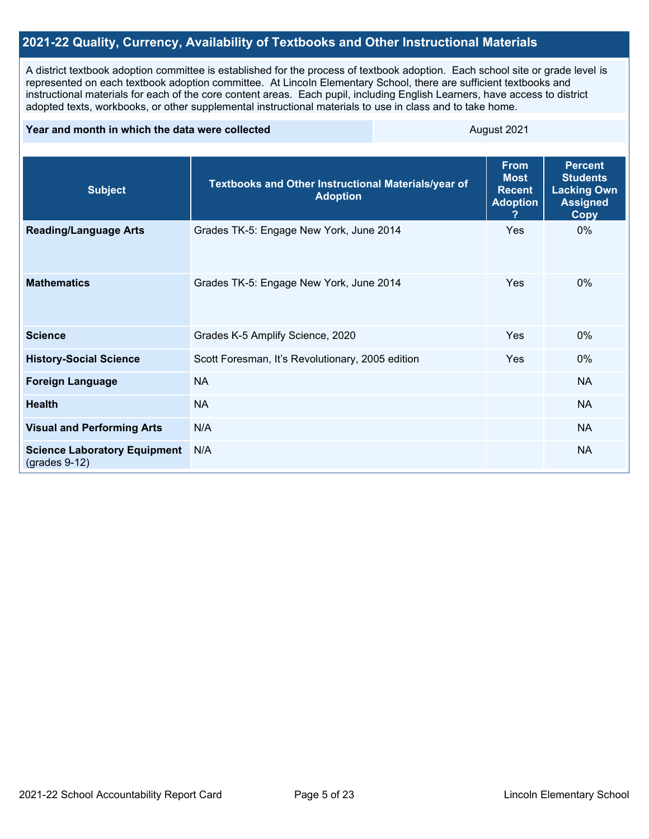### **2021-22 Quality, Currency, Availability of Textbooks and Other Instructional Materials**

A district textbook adoption committee is established for the process of textbook adoption. Each school site or grade level is represented on each textbook adoption committee. At Lincoln Elementary School, there are sufficient textbooks and instructional materials for each of the core content areas. Each pupil, including English Learners, have access to district adopted texts, workbooks, or other supplemental instructional materials to use in class and to take home.

#### **Year and month in which the data were collected** August 2021

| <b>Subject</b>                                         | Textbooks and Other Instructional Materials/year of<br><b>Adoption</b> | <b>From</b><br><b>Most</b><br><b>Recent</b><br><b>Adoption</b> | <b>Percent</b><br><b>Students</b><br><b>Lacking Own</b><br><b>Assigned</b><br><b>Copy</b> |
|--------------------------------------------------------|------------------------------------------------------------------------|----------------------------------------------------------------|-------------------------------------------------------------------------------------------|
| <b>Reading/Language Arts</b>                           | Grades TK-5: Engage New York, June 2014                                | <b>Yes</b>                                                     | $0\%$                                                                                     |
| <b>Mathematics</b>                                     | Grades TK-5: Engage New York, June 2014                                | <b>Yes</b>                                                     | $0\%$                                                                                     |
| <b>Science</b>                                         | Grades K-5 Amplify Science, 2020                                       | <b>Yes</b>                                                     | $0\%$                                                                                     |
| <b>History-Social Science</b>                          | Scott Foresman, It's Revolutionary, 2005 edition                       | Yes                                                            | $0\%$                                                                                     |
| <b>Foreign Language</b>                                | <b>NA</b>                                                              |                                                                | <b>NA</b>                                                                                 |
| <b>Health</b>                                          | <b>NA</b>                                                              |                                                                | <b>NA</b>                                                                                 |
| <b>Visual and Performing Arts</b>                      | N/A                                                                    |                                                                | <b>NA</b>                                                                                 |
| <b>Science Laboratory Equipment</b><br>$(grades 9-12)$ | N/A                                                                    |                                                                | <b>NA</b>                                                                                 |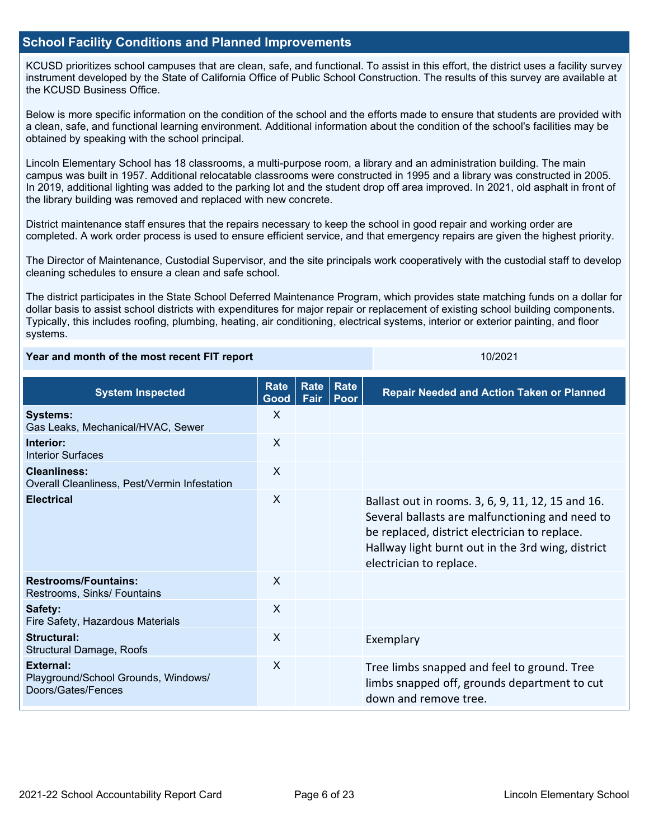#### **School Facility Conditions and Planned Improvements**

KCUSD prioritizes school campuses that are clean, safe, and functional. To assist in this effort, the district uses a facility survey instrument developed by the State of California Office of Public School Construction. The results of this survey are available at the KCUSD Business Office.

Below is more specific information on the condition of the school and the efforts made to ensure that students are provided with a clean, safe, and functional learning environment. Additional information about the condition of the school's facilities may be obtained by speaking with the school principal.

Lincoln Elementary School has 18 classrooms, a multi-purpose room, a library and an administration building. The main campus was built in 1957. Additional relocatable classrooms were constructed in 1995 and a library was constructed in 2005. In 2019, additional lighting was added to the parking lot and the student drop off area improved. In 2021, old asphalt in front of the library building was removed and replaced with new concrete.

District maintenance staff ensures that the repairs necessary to keep the school in good repair and working order are completed. A work order process is used to ensure efficient service, and that emergency repairs are given the highest priority.

The Director of Maintenance, Custodial Supervisor, and the site principals work cooperatively with the custodial staff to develop cleaning schedules to ensure a clean and safe school.

The district participates in the State School Deferred Maintenance Program, which provides state matching funds on a dollar for dollar basis to assist school districts with expenditures for major repair or replacement of existing school building components. Typically, this includes roofing, plumbing, heating, air conditioning, electrical systems, interior or exterior painting, and floor systems.

#### **Year and month of the most recent FIT report** 10/2021 10/2021

| <b>System Inspected</b>                                                       | <b>Rate</b><br>Good | Rate<br>Fair | Rate<br>Poor | <b>Repair Needed and Action Taken or Planned</b>                                                                                                                                                                                      |
|-------------------------------------------------------------------------------|---------------------|--------------|--------------|---------------------------------------------------------------------------------------------------------------------------------------------------------------------------------------------------------------------------------------|
| <b>Systems:</b><br>Gas Leaks, Mechanical/HVAC, Sewer                          | X                   |              |              |                                                                                                                                                                                                                                       |
| Interior:<br><b>Interior Surfaces</b>                                         | $\mathsf{X}$        |              |              |                                                                                                                                                                                                                                       |
| <b>Cleanliness:</b><br>Overall Cleanliness, Pest/Vermin Infestation           | $\sf X$             |              |              |                                                                                                                                                                                                                                       |
| <b>Electrical</b>                                                             | X                   |              |              | Ballast out in rooms. 3, 6, 9, 11, 12, 15 and 16.<br>Several ballasts are malfunctioning and need to<br>be replaced, district electrician to replace.<br>Hallway light burnt out in the 3rd wing, district<br>electrician to replace. |
| <b>Restrooms/Fountains:</b><br>Restrooms, Sinks/ Fountains                    | $\sf X$             |              |              |                                                                                                                                                                                                                                       |
| Safety:<br>Fire Safety, Hazardous Materials                                   | X                   |              |              |                                                                                                                                                                                                                                       |
| Structural:<br><b>Structural Damage, Roofs</b>                                | X                   |              |              | Exemplary                                                                                                                                                                                                                             |
| <b>External:</b><br>Playground/School Grounds, Windows/<br>Doors/Gates/Fences | X                   |              |              | Tree limbs snapped and feel to ground. Tree<br>limbs snapped off, grounds department to cut<br>down and remove tree.                                                                                                                  |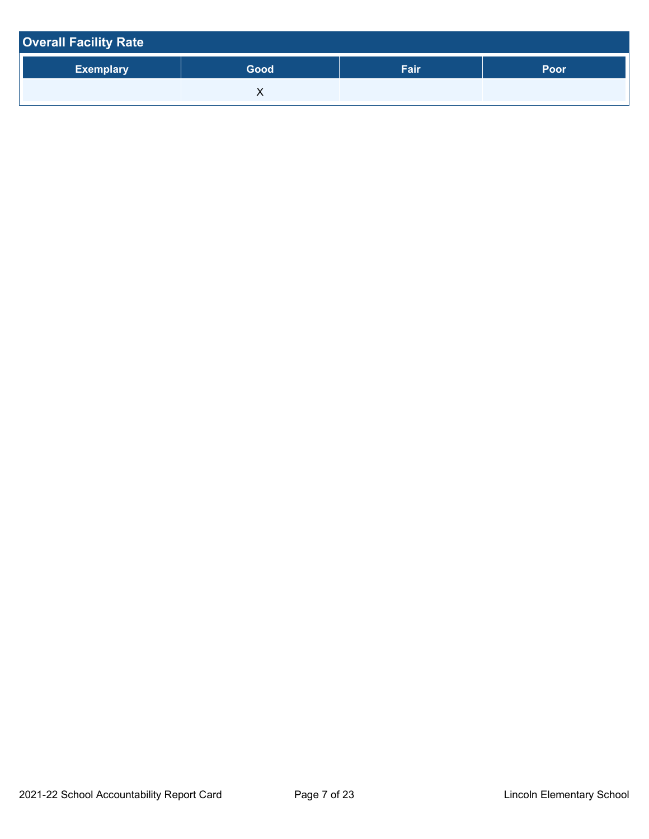| <b>Overall Facility Rate</b> |      |      |      |  |  |  |
|------------------------------|------|------|------|--|--|--|
| <b>Exemplary</b>             | Good | Fair | Poor |  |  |  |
|                              |      |      |      |  |  |  |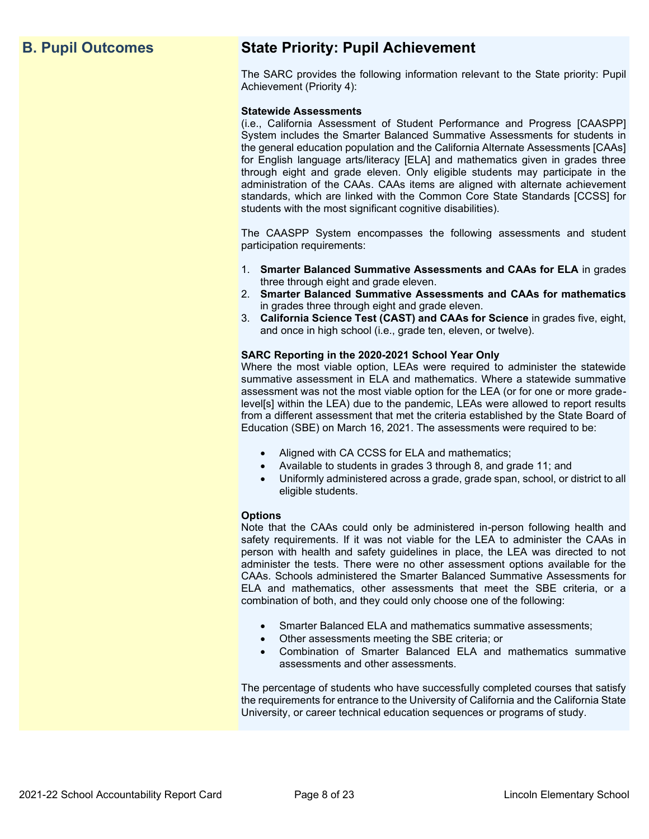# **B. Pupil Outcomes State Priority: Pupil Achievement**

The SARC provides the following information relevant to the State priority: Pupil Achievement (Priority 4):

#### **Statewide Assessments**

(i.e., California Assessment of Student Performance and Progress [CAASPP] System includes the Smarter Balanced Summative Assessments for students in the general education population and the California Alternate Assessments [CAAs] for English language arts/literacy [ELA] and mathematics given in grades three through eight and grade eleven. Only eligible students may participate in the administration of the CAAs. CAAs items are aligned with alternate achievement standards, which are linked with the Common Core State Standards [CCSS] for students with the most significant cognitive disabilities).

The CAASPP System encompasses the following assessments and student participation requirements:

- 1. **Smarter Balanced Summative Assessments and CAAs for ELA** in grades three through eight and grade eleven.
- 2. **Smarter Balanced Summative Assessments and CAAs for mathematics** in grades three through eight and grade eleven.
- 3. **California Science Test (CAST) and CAAs for Science** in grades five, eight, and once in high school (i.e., grade ten, eleven, or twelve).

#### **SARC Reporting in the 2020-2021 School Year Only**

Where the most viable option, LEAs were required to administer the statewide summative assessment in ELA and mathematics. Where a statewide summative assessment was not the most viable option for the LEA (or for one or more gradelevel[s] within the LEA) due to the pandemic, LEAs were allowed to report results from a different assessment that met the criteria established by the State Board of Education (SBE) on March 16, 2021. The assessments were required to be:

- Aligned with CA CCSS for ELA and mathematics;
- Available to students in grades 3 through 8, and grade 11; and
- Uniformly administered across a grade, grade span, school, or district to all eligible students.

#### **Options**

Note that the CAAs could only be administered in-person following health and safety requirements. If it was not viable for the LEA to administer the CAAs in person with health and safety guidelines in place, the LEA was directed to not administer the tests. There were no other assessment options available for the CAAs. Schools administered the Smarter Balanced Summative Assessments for ELA and mathematics, other assessments that meet the SBE criteria, or a combination of both, and they could only choose one of the following:

- Smarter Balanced ELA and mathematics summative assessments;
- Other assessments meeting the SBE criteria; or
- Combination of Smarter Balanced ELA and mathematics summative assessments and other assessments.

The percentage of students who have successfully completed courses that satisfy the requirements for entrance to the University of California and the California State University, or career technical education sequences or programs of study.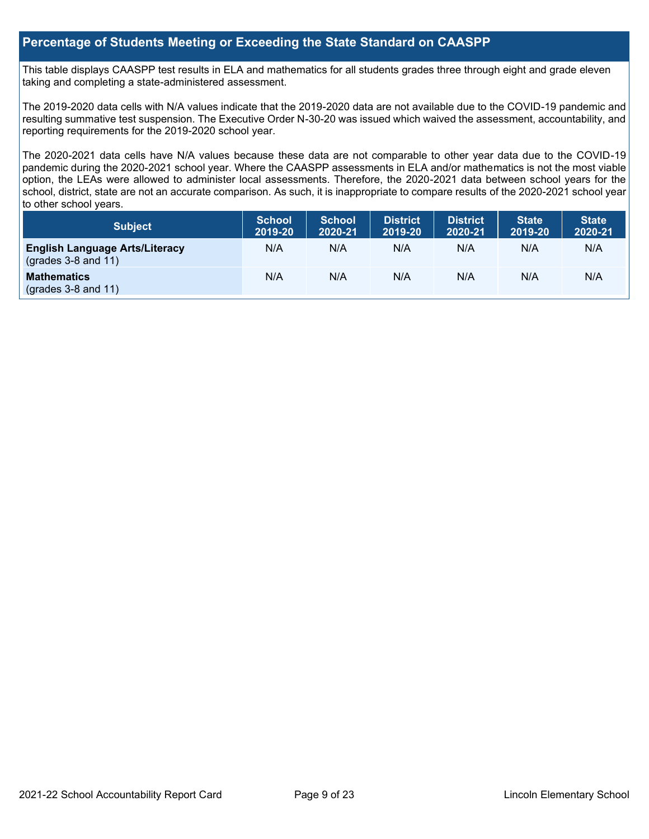#### **Percentage of Students Meeting or Exceeding the State Standard on CAASPP**

This table displays CAASPP test results in ELA and mathematics for all students grades three through eight and grade eleven taking and completing a state-administered assessment.

The 2019-2020 data cells with N/A values indicate that the 2019-2020 data are not available due to the COVID-19 pandemic and resulting summative test suspension. The Executive Order N-30-20 was issued which waived the assessment, accountability, and reporting requirements for the 2019-2020 school year.

The 2020-2021 data cells have N/A values because these data are not comparable to other year data due to the COVID-19 pandemic during the 2020-2021 school year. Where the CAASPP assessments in ELA and/or mathematics is not the most viable option, the LEAs were allowed to administer local assessments. Therefore, the 2020-2021 data between school years for the school, district, state are not an accurate comparison. As such, it is inappropriate to compare results of the 2020-2021 school year to other school years.

| Subject                                                              | <b>School</b><br>2019-20 | <b>School</b><br>2020-21 | <b>District</b><br>2019-20 | <b>District</b><br>2020-21 | <b>State</b><br>2019-20 | <b>State</b><br>2020-21 |
|----------------------------------------------------------------------|--------------------------|--------------------------|----------------------------|----------------------------|-------------------------|-------------------------|
| <b>English Language Arts/Literacy</b><br>$\left($ grades 3-8 and 11) | N/A                      | N/A                      | N/A                        | N/A                        | N/A                     | N/A                     |
| <b>Mathematics</b><br>$(grades 3-8 and 11)$                          | N/A                      | N/A                      | N/A                        | N/A                        | N/A                     | N/A                     |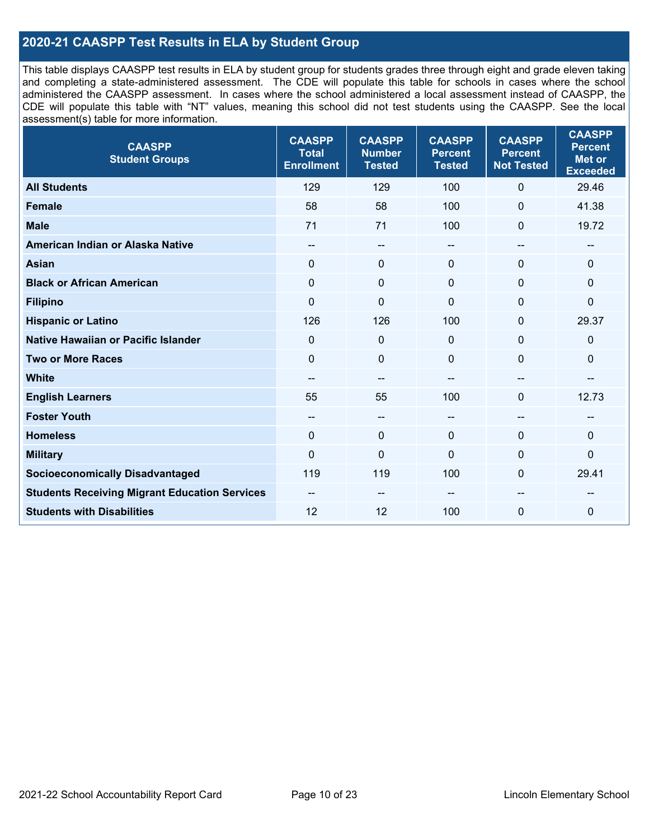### **2020-21 CAASPP Test Results in ELA by Student Group**

This table displays CAASPP test results in ELA by student group for students grades three through eight and grade eleven taking and completing a state-administered assessment. The CDE will populate this table for schools in cases where the school administered the CAASPP assessment. In cases where the school administered a local assessment instead of CAASPP, the CDE will populate this table with "NT" values, meaning this school did not test students using the CAASPP. See the local assessment(s) table for more information.

| <b>CAASPP</b><br><b>Student Groups</b>               | <b>CAASPP</b><br><b>Total</b><br><b>Enrollment</b> | <b>CAASPP</b><br><b>Number</b><br><b>Tested</b> | <b>CAASPP</b><br><b>Percent</b><br><b>Tested</b> | <b>CAASPP</b><br><b>Percent</b><br><b>Not Tested</b> | <b>CAASPP</b><br><b>Percent</b><br><b>Met or</b><br><b>Exceeded</b> |
|------------------------------------------------------|----------------------------------------------------|-------------------------------------------------|--------------------------------------------------|------------------------------------------------------|---------------------------------------------------------------------|
| <b>All Students</b>                                  | 129                                                | 129                                             | 100                                              | $\mathbf 0$                                          | 29.46                                                               |
| <b>Female</b>                                        | 58                                                 | 58                                              | 100                                              | $\mathbf 0$                                          | 41.38                                                               |
| <b>Male</b>                                          | 71                                                 | 71                                              | 100                                              | $\mathbf{0}$                                         | 19.72                                                               |
| American Indian or Alaska Native                     | --                                                 | $\overline{\phantom{m}}$                        | --                                               | $\overline{\phantom{a}}$                             | --                                                                  |
| <b>Asian</b>                                         | $\mathbf{0}$                                       | $\mathbf 0$                                     | $\mathbf{0}$                                     | $\Omega$                                             | 0                                                                   |
| <b>Black or African American</b>                     | $\mathbf{0}$                                       | $\mathbf 0$                                     | $\mathbf{0}$                                     | $\Omega$                                             | 0                                                                   |
| <b>Filipino</b>                                      | $\mathbf 0$                                        | $\mathbf 0$                                     | $\mathbf{0}$                                     | $\Omega$                                             | $\mathbf 0$                                                         |
| <b>Hispanic or Latino</b>                            | 126                                                | 126                                             | 100                                              | $\mathbf{0}$                                         | 29.37                                                               |
| Native Hawaiian or Pacific Islander                  | $\mathbf 0$                                        | $\mathbf 0$                                     | $\mathbf{0}$                                     | $\mathbf 0$                                          | $\mathbf 0$                                                         |
| <b>Two or More Races</b>                             | $\mathbf 0$                                        | $\mathbf 0$                                     | $\mathbf{0}$                                     | $\mathbf 0$                                          | 0                                                                   |
| <b>White</b>                                         | --                                                 | $\overline{\phantom{m}}$                        |                                                  | $\overline{\phantom{a}}$                             | $-$                                                                 |
| <b>English Learners</b>                              | 55                                                 | 55                                              | 100                                              | $\Omega$                                             | 12.73                                                               |
| <b>Foster Youth</b>                                  | --                                                 | $\overline{\phantom{m}}$                        | --                                               | $\sim$                                               | --                                                                  |
| <b>Homeless</b>                                      | $\Omega$                                           | $\mathbf 0$                                     | $\mathbf{0}$                                     | $\Omega$                                             | 0                                                                   |
| <b>Military</b>                                      | $\mathbf 0$                                        | $\pmb{0}$                                       | $\Omega$                                         | 0                                                    | $\pmb{0}$                                                           |
| <b>Socioeconomically Disadvantaged</b>               | 119                                                | 119                                             | 100                                              | $\Omega$                                             | 29.41                                                               |
| <b>Students Receiving Migrant Education Services</b> | $- -$                                              | --                                              |                                                  | --                                                   |                                                                     |
| <b>Students with Disabilities</b>                    | 12                                                 | 12                                              | 100                                              | $\overline{0}$                                       | 0                                                                   |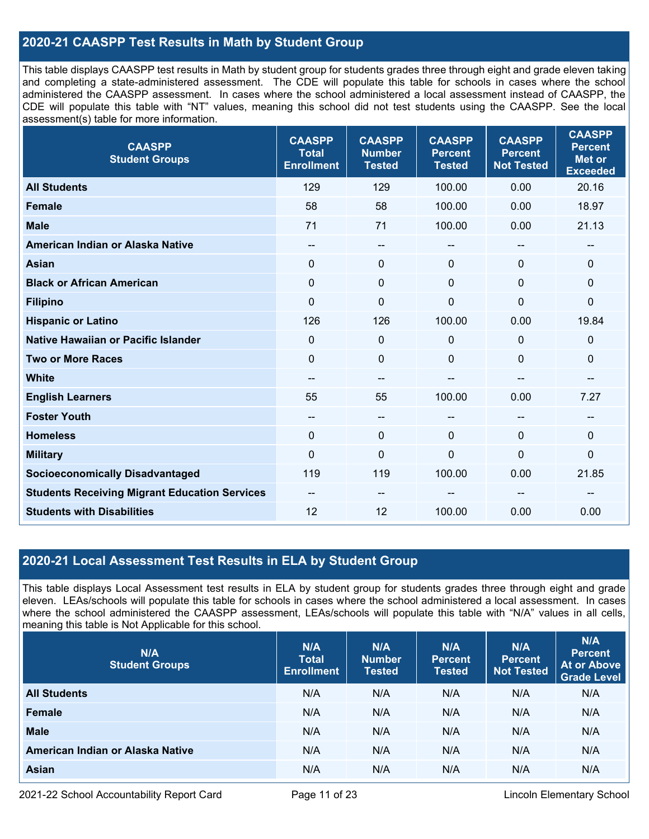### **2020-21 CAASPP Test Results in Math by Student Group**

This table displays CAASPP test results in Math by student group for students grades three through eight and grade eleven taking and completing a state-administered assessment. The CDE will populate this table for schools in cases where the school administered the CAASPP assessment. In cases where the school administered a local assessment instead of CAASPP, the CDE will populate this table with "NT" values, meaning this school did not test students using the CAASPP. See the local assessment(s) table for more information.

| <b>CAASPP</b><br><b>Student Groups</b>               | <b>CAASPP</b><br><b>Total</b><br><b>Enrollment</b> | <b>CAASPP</b><br><b>Number</b><br><b>Tested</b> | <b>CAASPP</b><br><b>Percent</b><br><b>Tested</b> | <b>CAASPP</b><br><b>Percent</b><br><b>Not Tested</b> | <b>CAASPP</b><br><b>Percent</b><br><b>Met or</b><br><b>Exceeded</b> |
|------------------------------------------------------|----------------------------------------------------|-------------------------------------------------|--------------------------------------------------|------------------------------------------------------|---------------------------------------------------------------------|
| <b>All Students</b>                                  | 129                                                | 129                                             | 100.00                                           | 0.00                                                 | 20.16                                                               |
| Female                                               | 58                                                 | 58                                              | 100.00                                           | 0.00                                                 | 18.97                                                               |
| <b>Male</b>                                          | 71                                                 | 71                                              | 100.00                                           | 0.00                                                 | 21.13                                                               |
| American Indian or Alaska Native                     | $\qquad \qquad -$                                  | --                                              | --                                               | --                                                   | $\overline{\phantom{a}}$                                            |
| <b>Asian</b>                                         | $\mathbf 0$                                        | 0                                               | $\mathbf{0}$                                     | 0                                                    | $\mathbf 0$                                                         |
| <b>Black or African American</b>                     | $\mathbf{0}$                                       | 0                                               | $\Omega$                                         | 0                                                    | $\mathbf 0$                                                         |
| <b>Filipino</b>                                      | $\mathbf 0$                                        | $\mathbf 0$                                     | $\mathbf 0$                                      | $\overline{0}$                                       | $\pmb{0}$                                                           |
| <b>Hispanic or Latino</b>                            | 126                                                | 126                                             | 100.00                                           | 0.00                                                 | 19.84                                                               |
| Native Hawaiian or Pacific Islander                  | $\mathbf 0$                                        | $\mathbf 0$                                     | $\mathbf 0$                                      | 0                                                    | $\mathbf 0$                                                         |
| <b>Two or More Races</b>                             | $\mathbf 0$                                        | 0                                               | $\mathbf 0$                                      | 0                                                    | $\mathbf 0$                                                         |
| <b>White</b>                                         | $\qquad \qquad -$                                  | $\qquad \qquad -$                               | --                                               | $-$                                                  | $\sim$                                                              |
| <b>English Learners</b>                              | 55                                                 | 55                                              | 100.00                                           | 0.00                                                 | 7.27                                                                |
| <b>Foster Youth</b>                                  | $\overline{\phantom{a}}$                           | $\qquad \qquad -$                               | --                                               |                                                      | --                                                                  |
| <b>Homeless</b>                                      | $\Omega$                                           | $\mathbf 0$                                     | $\mathbf 0$                                      | $\Omega$                                             | $\mathbf 0$                                                         |
| <b>Military</b>                                      | $\overline{0}$                                     | $\pmb{0}$                                       | $\mathbf 0$                                      | $\mathbf{0}$                                         | $\pmb{0}$                                                           |
| <b>Socioeconomically Disadvantaged</b>               | 119                                                | 119                                             | 100.00                                           | 0.00                                                 | 21.85                                                               |
| <b>Students Receiving Migrant Education Services</b> | --                                                 | --                                              |                                                  |                                                      |                                                                     |
| <b>Students with Disabilities</b>                    | 12                                                 | 12                                              | 100.00                                           | 0.00                                                 | 0.00                                                                |

### **2020-21 Local Assessment Test Results in ELA by Student Group**

This table displays Local Assessment test results in ELA by student group for students grades three through eight and grade eleven. LEAs/schools will populate this table for schools in cases where the school administered a local assessment. In cases where the school administered the CAASPP assessment, LEAs/schools will populate this table with "N/A" values in all cells, meaning this table is Not Applicable for this school.

| N/A<br><b>Student Groups</b>     | N/A<br><b>Total</b><br><b>Enrollment</b> | N/A<br><b>Number</b><br><b>Tested</b> | N/A<br><b>Percent</b><br><b>Tested</b> | N/A<br>Percent<br><b>Not Tested</b> | N/A<br><b>Percent</b><br><b>At or Above</b><br><b>Grade Level</b> |
|----------------------------------|------------------------------------------|---------------------------------------|----------------------------------------|-------------------------------------|-------------------------------------------------------------------|
| <b>All Students</b>              | N/A                                      | N/A                                   | N/A                                    | N/A                                 | N/A                                                               |
| Female                           | N/A                                      | N/A                                   | N/A                                    | N/A                                 | N/A                                                               |
| <b>Male</b>                      | N/A                                      | N/A                                   | N/A                                    | N/A                                 | N/A                                                               |
| American Indian or Alaska Native | N/A                                      | N/A                                   | N/A                                    | N/A                                 | N/A                                                               |
| <b>Asian</b>                     | N/A                                      | N/A                                   | N/A                                    | N/A                                 | N/A                                                               |

2021-22 School Accountability Report Card **Page 11 of 23** Lincoln Elementary School **Page 11** of 23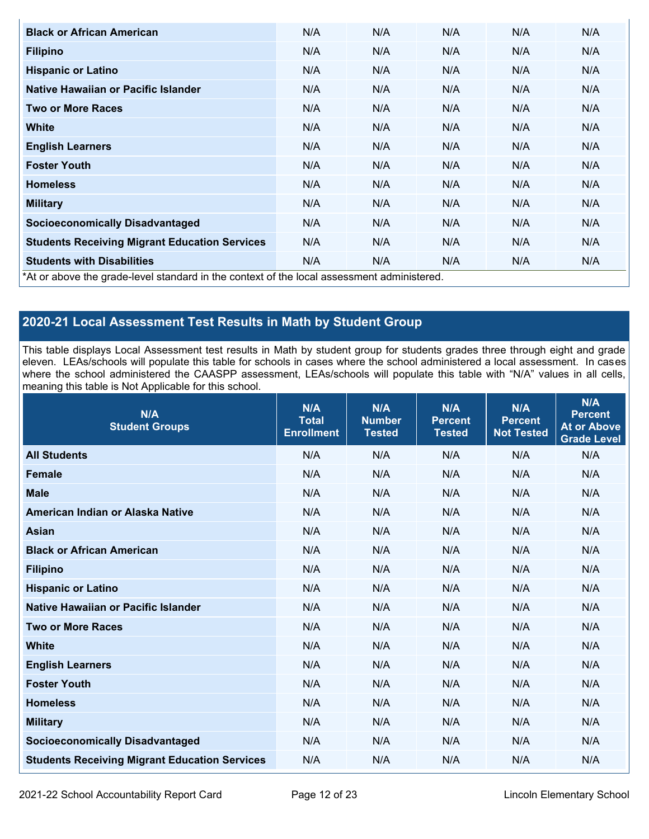| <b>Black or African American</b>                                                           | N/A | N/A | N/A | N/A | N/A |
|--------------------------------------------------------------------------------------------|-----|-----|-----|-----|-----|
| <b>Filipino</b>                                                                            | N/A | N/A | N/A | N/A | N/A |
| <b>Hispanic or Latino</b>                                                                  | N/A | N/A | N/A | N/A | N/A |
| Native Hawaiian or Pacific Islander                                                        | N/A | N/A | N/A | N/A | N/A |
| <b>Two or More Races</b>                                                                   | N/A | N/A | N/A | N/A | N/A |
| <b>White</b>                                                                               | N/A | N/A | N/A | N/A | N/A |
| <b>English Learners</b>                                                                    | N/A | N/A | N/A | N/A | N/A |
| <b>Foster Youth</b>                                                                        | N/A | N/A | N/A | N/A | N/A |
| <b>Homeless</b>                                                                            | N/A | N/A | N/A | N/A | N/A |
| <b>Military</b>                                                                            | N/A | N/A | N/A | N/A | N/A |
| <b>Socioeconomically Disadvantaged</b>                                                     | N/A | N/A | N/A | N/A | N/A |
| <b>Students Receiving Migrant Education Services</b>                                       | N/A | N/A | N/A | N/A | N/A |
| <b>Students with Disabilities</b>                                                          | N/A | N/A | N/A | N/A | N/A |
| *At or above the grade-level standard in the context of the local assessment administered. |     |     |     |     |     |

## **2020-21 Local Assessment Test Results in Math by Student Group**

This table displays Local Assessment test results in Math by student group for students grades three through eight and grade eleven. LEAs/schools will populate this table for schools in cases where the school administered a local assessment. In cases where the school administered the CAASPP assessment, LEAs/schools will populate this table with "N/A" values in all cells, meaning this table is Not Applicable for this school.

| N/A<br><b>Student Groups</b>                         | N/A<br><b>Total</b><br><b>Enrollment</b> | N/A<br><b>Number</b><br><b>Tested</b> | N/A<br><b>Percent</b><br><b>Tested</b> | N/A<br><b>Percent</b><br><b>Not Tested</b> | N/A<br><b>Percent</b><br><b>At or Above</b><br><b>Grade Level</b> |
|------------------------------------------------------|------------------------------------------|---------------------------------------|----------------------------------------|--------------------------------------------|-------------------------------------------------------------------|
| <b>All Students</b>                                  | N/A                                      | N/A                                   | N/A                                    | N/A                                        | N/A                                                               |
| <b>Female</b>                                        | N/A                                      | N/A                                   | N/A                                    | N/A                                        | N/A                                                               |
| <b>Male</b>                                          | N/A                                      | N/A                                   | N/A                                    | N/A                                        | N/A                                                               |
| American Indian or Alaska Native                     | N/A                                      | N/A                                   | N/A                                    | N/A                                        | N/A                                                               |
| <b>Asian</b>                                         | N/A                                      | N/A                                   | N/A                                    | N/A                                        | N/A                                                               |
| <b>Black or African American</b>                     | N/A                                      | N/A                                   | N/A                                    | N/A                                        | N/A                                                               |
| <b>Filipino</b>                                      | N/A                                      | N/A                                   | N/A                                    | N/A                                        | N/A                                                               |
| <b>Hispanic or Latino</b>                            | N/A                                      | N/A                                   | N/A                                    | N/A                                        | N/A                                                               |
| Native Hawaiian or Pacific Islander                  | N/A                                      | N/A                                   | N/A                                    | N/A                                        | N/A                                                               |
| <b>Two or More Races</b>                             | N/A                                      | N/A                                   | N/A                                    | N/A                                        | N/A                                                               |
| <b>White</b>                                         | N/A                                      | N/A                                   | N/A                                    | N/A                                        | N/A                                                               |
| <b>English Learners</b>                              | N/A                                      | N/A                                   | N/A                                    | N/A                                        | N/A                                                               |
| <b>Foster Youth</b>                                  | N/A                                      | N/A                                   | N/A                                    | N/A                                        | N/A                                                               |
| <b>Homeless</b>                                      | N/A                                      | N/A                                   | N/A                                    | N/A                                        | N/A                                                               |
| <b>Military</b>                                      | N/A                                      | N/A                                   | N/A                                    | N/A                                        | N/A                                                               |
| <b>Socioeconomically Disadvantaged</b>               | N/A                                      | N/A                                   | N/A                                    | N/A                                        | N/A                                                               |
| <b>Students Receiving Migrant Education Services</b> | N/A                                      | N/A                                   | N/A                                    | N/A                                        | N/A                                                               |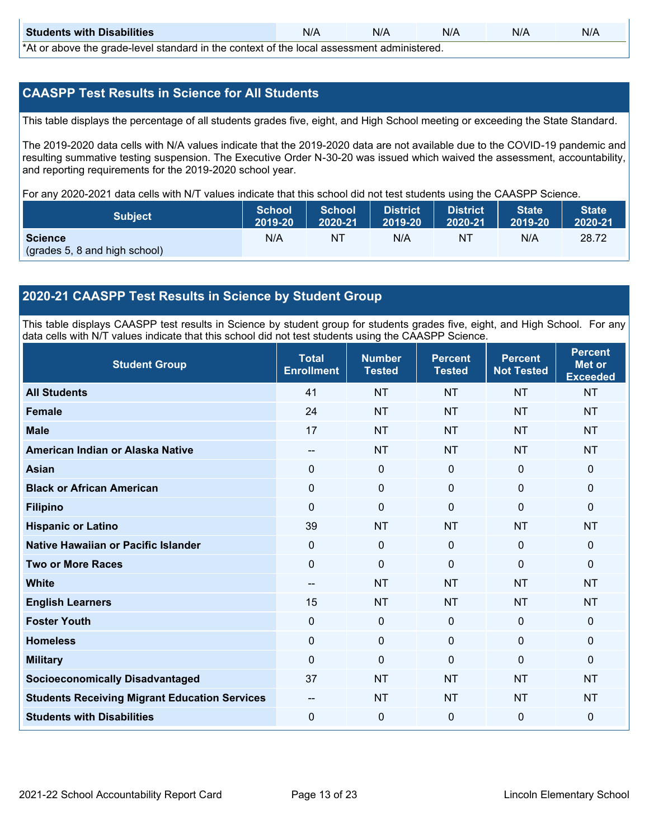| <b>Students with Disabilities</b>                                                           | N/A | N/A | N/A | N/A | N/A |  |  |
|---------------------------------------------------------------------------------------------|-----|-----|-----|-----|-----|--|--|
| *At as above the escale level standard in the context of the local accordinate admissioned. |     |     |     |     |     |  |  |

\*At or above the grade-level standard in the context of the local assessment administered.

#### **CAASPP Test Results in Science for All Students**

This table displays the percentage of all students grades five, eight, and High School meeting or exceeding the State Standard.

The 2019-2020 data cells with N/A values indicate that the 2019-2020 data are not available due to the COVID-19 pandemic and resulting summative testing suspension. The Executive Order N-30-20 was issued which waived the assessment, accountability, and reporting requirements for the 2019-2020 school year.

For any 2020-2021 data cells with N/T values indicate that this school did not test students using the CAASPP Science.

| <b>Subject</b>                                  | <b>School</b> | <b>School</b> | <b>District</b> | District | <b>State</b> | <b>State</b> |
|-------------------------------------------------|---------------|---------------|-----------------|----------|--------------|--------------|
|                                                 | 2019-20       | 2020-21       | 2019-20         | 2020-21  | 2019-20      | 2020-21      |
| <b>Science</b><br>(grades 5, 8 and high school) | N/A           | ΝT            | N/A             | NT       | N/A          | 28.72        |

### **2020-21 CAASPP Test Results in Science by Student Group**

This table displays CAASPP test results in Science by student group for students grades five, eight, and High School. For any data cells with N/T values indicate that this school did not test students using the CAASPP Science.

| <b>Student Group</b>                                 | <b>Total</b><br><b>Enrollment</b>     | <b>Number</b><br><b>Tested</b> | <b>Percent</b><br><b>Tested</b> | <b>Percent</b><br><b>Not Tested</b> | <b>Percent</b><br><b>Met or</b><br><b>Exceeded</b> |
|------------------------------------------------------|---------------------------------------|--------------------------------|---------------------------------|-------------------------------------|----------------------------------------------------|
| <b>All Students</b>                                  | 41                                    | <b>NT</b>                      | <b>NT</b>                       | <b>NT</b>                           | <b>NT</b>                                          |
| <b>Female</b>                                        | 24                                    | <b>NT</b>                      | <b>NT</b>                       | <b>NT</b>                           | <b>NT</b>                                          |
| <b>Male</b>                                          | 17                                    | <b>NT</b>                      | <b>NT</b>                       | <b>NT</b>                           | <b>NT</b>                                          |
| American Indian or Alaska Native                     | $\overline{\phantom{a}}$              | <b>NT</b>                      | <b>NT</b>                       | <b>NT</b>                           | <b>NT</b>                                          |
| <b>Asian</b>                                         | $\mathbf 0$                           | $\mathbf 0$                    | $\mathbf 0$                     | $\mathbf 0$                         | $\mathbf{0}$                                       |
| <b>Black or African American</b>                     | 0                                     | $\mathbf 0$                    | $\mathbf 0$                     | 0                                   | $\mathbf 0$                                        |
| <b>Filipino</b>                                      | $\Omega$                              | $\mathbf 0$                    | $\mathbf{0}$                    | $\Omega$                            | $\mathbf 0$                                        |
| <b>Hispanic or Latino</b>                            | 39                                    | <b>NT</b>                      | <b>NT</b>                       | <b>NT</b>                           | <b>NT</b>                                          |
| Native Hawaiian or Pacific Islander                  | $\mathbf 0$                           | $\mathbf 0$                    | $\mathbf{0}$                    | $\mathbf 0$                         | $\mathbf{0}$                                       |
| <b>Two or More Races</b>                             | $\Omega$                              | $\mathbf 0$                    | $\mathbf{0}$                    | $\mathbf{0}$                        | $\mathbf 0$                                        |
| <b>White</b>                                         | $\hspace{0.05cm}$ – $\hspace{0.05cm}$ | <b>NT</b>                      | <b>NT</b>                       | <b>NT</b>                           | <b>NT</b>                                          |
| <b>English Learners</b>                              | 15                                    | <b>NT</b>                      | <b>NT</b>                       | <b>NT</b>                           | <b>NT</b>                                          |
| <b>Foster Youth</b>                                  | $\mathbf 0$                           | $\mathbf 0$                    | $\mathbf 0$                     | $\mathbf 0$                         | $\mathbf{0}$                                       |
| <b>Homeless</b>                                      | 0                                     | $\mathbf{0}$                   | $\mathbf 0$                     | $\mathbf 0$                         | $\mathbf 0$                                        |
| <b>Military</b>                                      | $\Omega$                              | $\mathbf 0$                    | $\mathbf{0}$                    | $\mathbf{0}$                        | $\mathbf{0}$                                       |
| <b>Socioeconomically Disadvantaged</b>               | 37                                    | <b>NT</b>                      | <b>NT</b>                       | <b>NT</b>                           | <b>NT</b>                                          |
| <b>Students Receiving Migrant Education Services</b> | $-$                                   | <b>NT</b>                      | <b>NT</b>                       | <b>NT</b>                           | <b>NT</b>                                          |
| <b>Students with Disabilities</b>                    | 0                                     | $\mathbf 0$                    | $\mathbf 0$                     | $\mathbf 0$                         | $\mathbf 0$                                        |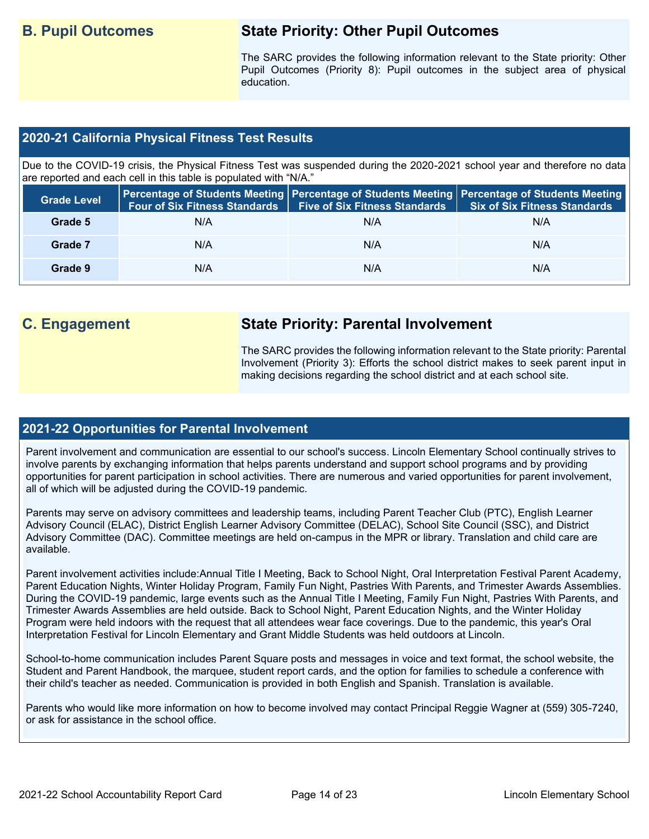# **B. Pupil Outcomes State Priority: Other Pupil Outcomes**

The SARC provides the following information relevant to the State priority: Other Pupil Outcomes (Priority 8): Pupil outcomes in the subject area of physical education.

#### **2020-21 California Physical Fitness Test Results**

Due to the COVID-19 crisis, the Physical Fitness Test was suspended during the 2020-2021 school year and therefore no data are reported and each cell in this table is populated with "N/A."

| <b>Grade Level</b> | <b>Four of Six Fitness Standards</b> | <b>Five of Six Fitness Standards</b> | Percentage of Students Meeting   Percentage of Students Meeting   Percentage of Students Meeting  <br><b>Six of Six Fitness Standards</b> |
|--------------------|--------------------------------------|--------------------------------------|-------------------------------------------------------------------------------------------------------------------------------------------|
| Grade 5            | N/A                                  | N/A                                  | N/A                                                                                                                                       |
| Grade 7            | N/A                                  | N/A                                  | N/A                                                                                                                                       |
| Grade 9            | N/A                                  | N/A                                  | N/A                                                                                                                                       |

# **C. Engagement State Priority: Parental Involvement**

The SARC provides the following information relevant to the State priority: Parental Involvement (Priority 3): Efforts the school district makes to seek parent input in making decisions regarding the school district and at each school site.

#### **2021-22 Opportunities for Parental Involvement**

Parent involvement and communication are essential to our school's success. Lincoln Elementary School continually strives to involve parents by exchanging information that helps parents understand and support school programs and by providing opportunities for parent participation in school activities. There are numerous and varied opportunities for parent involvement, all of which will be adjusted during the COVID-19 pandemic.

Parents may serve on advisory committees and leadership teams, including Parent Teacher Club (PTC), English Learner Advisory Council (ELAC), District English Learner Advisory Committee (DELAC), School Site Council (SSC), and District Advisory Committee (DAC). Committee meetings are held on-campus in the MPR or library. Translation and child care are available.

Parent involvement activities include:Annual Title I Meeting, Back to School Night, Oral Interpretation Festival Parent Academy, Parent Education Nights, Winter Holiday Program, Family Fun Night, Pastries With Parents, and Trimester Awards Assemblies. During the COVID-19 pandemic, large events such as the Annual Title I Meeting, Family Fun Night, Pastries With Parents, and Trimester Awards Assemblies are held outside. Back to School Night, Parent Education Nights, and the Winter Holiday Program were held indoors with the request that all attendees wear face coverings. Due to the pandemic, this year's Oral Interpretation Festival for Lincoln Elementary and Grant Middle Students was held outdoors at Lincoln.

School-to-home communication includes Parent Square posts and messages in voice and text format, the school website, the Student and Parent Handbook, the marquee, student report cards, and the option for families to schedule a conference with their child's teacher as needed. Communication is provided in both English and Spanish. Translation is available.

Parents who would like more information on how to become involved may contact Principal Reggie Wagner at (559) 305-7240, or ask for assistance in the school office.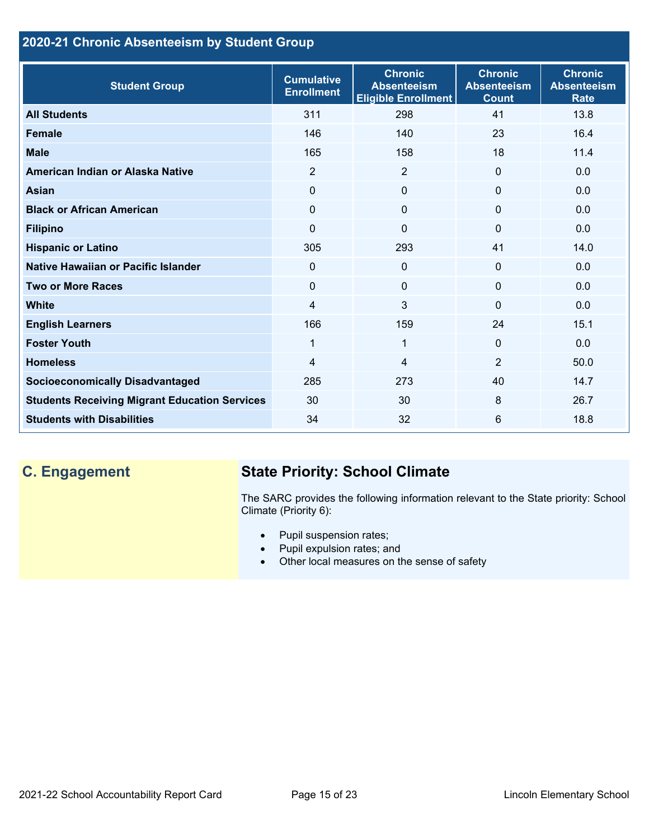## **2020-21 Chronic Absenteeism by Student Group**

| <b>Student Group</b>                                 | <b>Cumulative</b><br><b>Enrollment</b> | <b>Chronic</b><br><b>Absenteeism</b><br><b>Eligible Enrollment</b> | <b>Chronic</b><br><b>Absenteeism</b><br><b>Count</b> | <b>Chronic</b><br><b>Absenteeism</b><br><b>Rate</b> |
|------------------------------------------------------|----------------------------------------|--------------------------------------------------------------------|------------------------------------------------------|-----------------------------------------------------|
| <b>All Students</b>                                  | 311                                    | 298                                                                | 41                                                   | 13.8                                                |
| <b>Female</b>                                        | 146                                    | 140                                                                | 23                                                   | 16.4                                                |
| <b>Male</b>                                          | 165                                    | 158                                                                | 18                                                   | 11.4                                                |
| American Indian or Alaska Native                     | 2                                      | 2                                                                  | $\mathbf{0}$                                         | 0.0                                                 |
| <b>Asian</b>                                         | 0                                      | $\mathbf{0}$                                                       | $\mathbf 0$                                          | 0.0                                                 |
| <b>Black or African American</b>                     | $\Omega$                               | $\mathbf{0}$                                                       | $\mathbf{0}$                                         | 0.0                                                 |
| <b>Filipino</b>                                      | 0                                      | $\mathbf 0$                                                        | $\mathbf{0}$                                         | 0.0                                                 |
| <b>Hispanic or Latino</b>                            | 305                                    | 293                                                                | 41                                                   | 14.0                                                |
| Native Hawaiian or Pacific Islander                  | 0                                      | $\mathbf 0$                                                        | $\mathbf 0$                                          | 0.0                                                 |
| <b>Two or More Races</b>                             | 0                                      | $\mathbf{0}$                                                       | $\mathbf{0}$                                         | 0.0                                                 |
| <b>White</b>                                         | 4                                      | 3                                                                  | $\Omega$                                             | 0.0                                                 |
| <b>English Learners</b>                              | 166                                    | 159                                                                | 24                                                   | 15.1                                                |
| <b>Foster Youth</b>                                  | $\mathbf{1}$                           | $\mathbf 1$                                                        | $\Omega$                                             | 0.0                                                 |
| <b>Homeless</b>                                      | 4                                      | 4                                                                  | $\overline{2}$                                       | 50.0                                                |
| <b>Socioeconomically Disadvantaged</b>               | 285                                    | 273                                                                | 40                                                   | 14.7                                                |
| <b>Students Receiving Migrant Education Services</b> | 30                                     | 30                                                                 | 8                                                    | 26.7                                                |
| <b>Students with Disabilities</b>                    | 34                                     | 32                                                                 | 6                                                    | 18.8                                                |

# **C. Engagement State Priority: School Climate**

The SARC provides the following information relevant to the State priority: School Climate (Priority 6):

- Pupil suspension rates;
- Pupil expulsion rates; and
- Other local measures on the sense of safety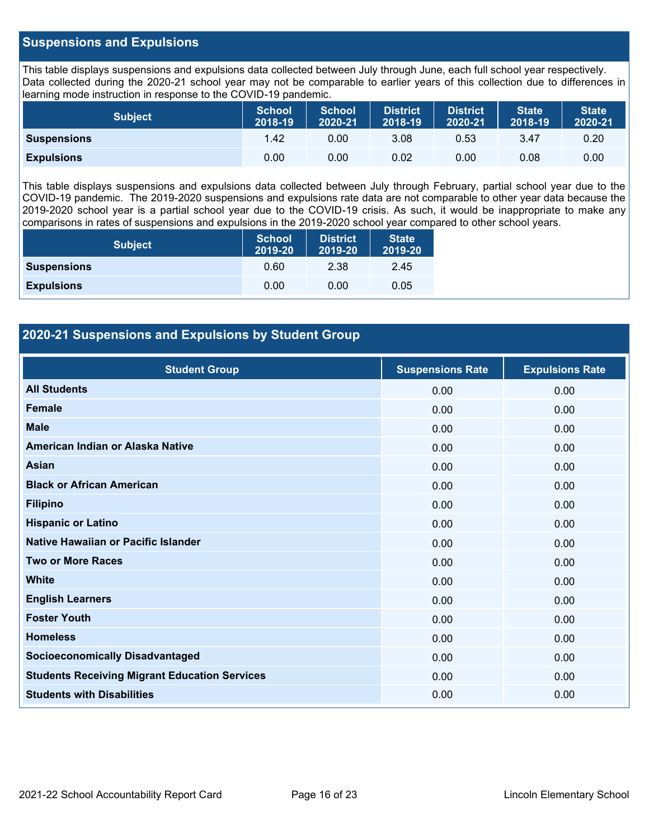#### **Suspensions and Expulsions**

This table displays suspensions and expulsions data collected between July through June, each full school year respectively. Data collected during the 2020-21 school year may not be comparable to earlier years of this collection due to differences in learning mode instruction in response to the COVID-19 pandemic.

| <b>Subject</b>     | <b>School</b><br>2018-19 | <b>School</b><br>2020-21 | <b>District</b><br>2018-19 | <b>District</b><br>2020-21 | <b>State</b><br>2018-19 | <b>State</b><br>2020-21 |
|--------------------|--------------------------|--------------------------|----------------------------|----------------------------|-------------------------|-------------------------|
| <b>Suspensions</b> | 1.42                     | 0.00                     | 3.08                       | 0.53                       | 3.47                    | 0.20                    |
| <b>Expulsions</b>  | 0.00                     | 0.00                     | 0.02                       | 0.00                       | 0.08                    | 0.00                    |

This table displays suspensions and expulsions data collected between July through February, partial school year due to the COVID-19 pandemic. The 2019-2020 suspensions and expulsions rate data are not comparable to other year data because the 2019-2020 school year is a partial school year due to the COVID-19 crisis. As such, it would be inappropriate to make any comparisons in rates of suspensions and expulsions in the 2019-2020 school year compared to other school years.

| <b>Subject</b>     | School<br>2019-20 | <b>District</b><br>2019-20 | <b>State</b><br>2019-20 |
|--------------------|-------------------|----------------------------|-------------------------|
| <b>Suspensions</b> | 0.60              | 2.38                       | 2.45                    |
| <b>Expulsions</b>  | 0.00              | 0.00                       | 0.05                    |

### **2020-21 Suspensions and Expulsions by Student Group**

| <b>Student Group</b>                                 | <b>Suspensions Rate</b> | <b>Expulsions Rate</b> |
|------------------------------------------------------|-------------------------|------------------------|
| <b>All Students</b>                                  | 0.00                    | 0.00                   |
| <b>Female</b>                                        | 0.00                    | 0.00                   |
| <b>Male</b>                                          | 0.00                    | 0.00                   |
| American Indian or Alaska Native                     | 0.00                    | 0.00                   |
| <b>Asian</b>                                         | 0.00                    | 0.00                   |
| <b>Black or African American</b>                     | 0.00                    | 0.00                   |
| <b>Filipino</b>                                      | 0.00                    | 0.00                   |
| <b>Hispanic or Latino</b>                            | 0.00                    | 0.00                   |
| Native Hawaiian or Pacific Islander                  | 0.00                    | 0.00                   |
| <b>Two or More Races</b>                             | 0.00                    | 0.00                   |
| <b>White</b>                                         | 0.00                    | 0.00                   |
| <b>English Learners</b>                              | 0.00                    | 0.00                   |
| <b>Foster Youth</b>                                  | 0.00                    | 0.00                   |
| <b>Homeless</b>                                      | 0.00                    | 0.00                   |
| <b>Socioeconomically Disadvantaged</b>               | 0.00                    | 0.00                   |
| <b>Students Receiving Migrant Education Services</b> | 0.00                    | 0.00                   |
| <b>Students with Disabilities</b>                    | 0.00                    | 0.00                   |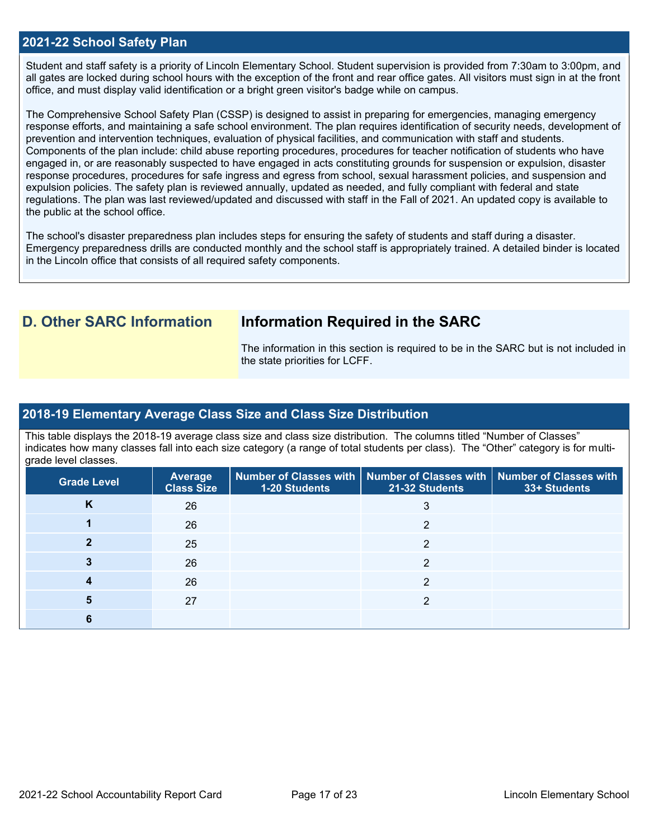#### **2021-22 School Safety Plan**

Student and staff safety is a priority of Lincoln Elementary School. Student supervision is provided from 7:30am to 3:00pm, and all gates are locked during school hours with the exception of the front and rear office gates. All visitors must sign in at the front office, and must display valid identification or a bright green visitor's badge while on campus.

The Comprehensive School Safety Plan (CSSP) is designed to assist in preparing for emergencies, managing emergency response efforts, and maintaining a safe school environment. The plan requires identification of security needs, development of prevention and intervention techniques, evaluation of physical facilities, and communication with staff and students. Components of the plan include: child abuse reporting procedures, procedures for teacher notification of students who have engaged in, or are reasonably suspected to have engaged in acts constituting grounds for suspension or expulsion, disaster response procedures, procedures for safe ingress and egress from school, sexual harassment policies, and suspension and expulsion policies. The safety plan is reviewed annually, updated as needed, and fully compliant with federal and state regulations. The plan was last reviewed/updated and discussed with staff in the Fall of 2021. An updated copy is available to the public at the school office.

The school's disaster preparedness plan includes steps for ensuring the safety of students and staff during a disaster. Emergency preparedness drills are conducted monthly and the school staff is appropriately trained. A detailed binder is located in the Lincoln office that consists of all required safety components.

## **D. Other SARC Information Information Required in the SARC**

The information in this section is required to be in the SARC but is not included in the state priorities for LCFF.

#### **2018-19 Elementary Average Class Size and Class Size Distribution**

This table displays the 2018-19 average class size and class size distribution. The columns titled "Number of Classes" indicates how many classes fall into each size category (a range of total students per class). The "Other" category is for multigrade level classes.

| <b>Grade Level</b> | <b>Average</b><br><b>Class Size</b> | 1-20 Students | Number of Classes with   Number of Classes with   Number of Classes with<br>21-32 Students | 33+ Students |
|--------------------|-------------------------------------|---------------|--------------------------------------------------------------------------------------------|--------------|
| K                  | 26                                  |               | 3                                                                                          |              |
|                    | 26                                  |               | ◠                                                                                          |              |
|                    | 25                                  |               | ◠                                                                                          |              |
|                    | 26                                  |               | າ                                                                                          |              |
|                    | 26                                  |               | ◠                                                                                          |              |
|                    | 27                                  |               | ◠                                                                                          |              |
|                    |                                     |               |                                                                                            |              |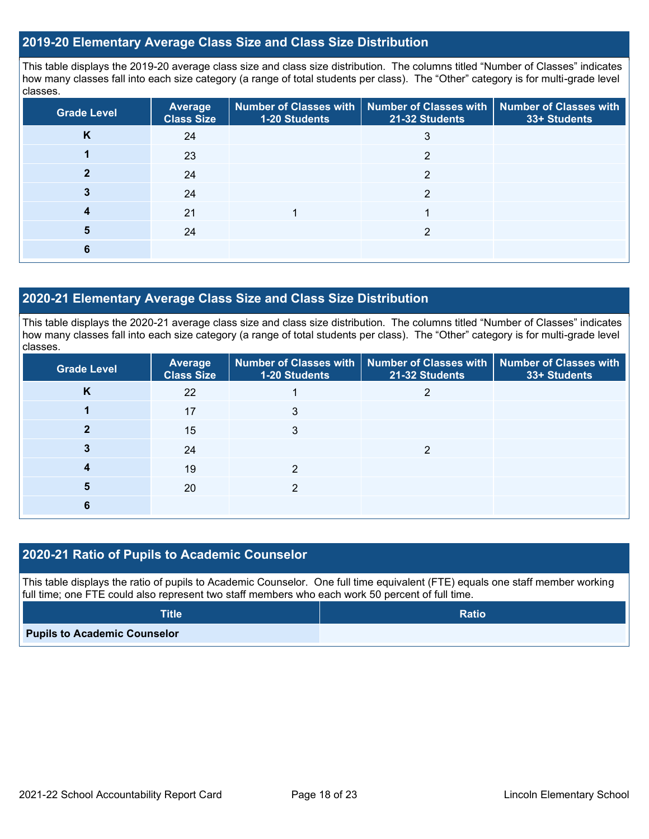#### **2019-20 Elementary Average Class Size and Class Size Distribution**

This table displays the 2019-20 average class size and class size distribution. The columns titled "Number of Classes" indicates how many classes fall into each size category (a range of total students per class). The "Other" category is for multi-grade level classes.

| <b>Grade Level</b> | Average<br><b>Class Size</b> | 1-20 Students | Number of Classes with   Number of Classes with   Number of Classes with<br>21-32 Students | 33+ Students |
|--------------------|------------------------------|---------------|--------------------------------------------------------------------------------------------|--------------|
| <b>n</b>           | 24                           |               | 3                                                                                          |              |
|                    | 23                           |               | C                                                                                          |              |
|                    | 24                           |               | າ                                                                                          |              |
|                    | 24                           |               | っ                                                                                          |              |
|                    | 21                           |               |                                                                                            |              |
| 5                  | 24                           |               |                                                                                            |              |
| n                  |                              |               |                                                                                            |              |

#### **2020-21 Elementary Average Class Size and Class Size Distribution**

This table displays the 2020-21 average class size and class size distribution. The columns titled "Number of Classes" indicates how many classes fall into each size category (a range of total students per class). The "Other" category is for multi-grade level classes.

| <b>Grade Level</b> | <b>Average</b><br><b>Class Size</b> | 1-20 Students | Number of Classes with   Number of Classes with   Number of Classes with<br>21-32 Students | 33+ Students |
|--------------------|-------------------------------------|---------------|--------------------------------------------------------------------------------------------|--------------|
| K                  | 22                                  |               |                                                                                            |              |
|                    | 17                                  | 3             |                                                                                            |              |
|                    | 15                                  | 3             |                                                                                            |              |
|                    | 24                                  |               | ◠                                                                                          |              |
|                    | 19                                  | າ             |                                                                                            |              |
| 5                  | 20                                  |               |                                                                                            |              |
|                    |                                     |               |                                                                                            |              |

### **2020-21 Ratio of Pupils to Academic Counselor**

This table displays the ratio of pupils to Academic Counselor. One full time equivalent (FTE) equals one staff member working full time; one FTE could also represent two staff members who each work 50 percent of full time.

| <b>Title</b>                        | <b>Ratio</b> |
|-------------------------------------|--------------|
| <b>Pupils to Academic Counselor</b> |              |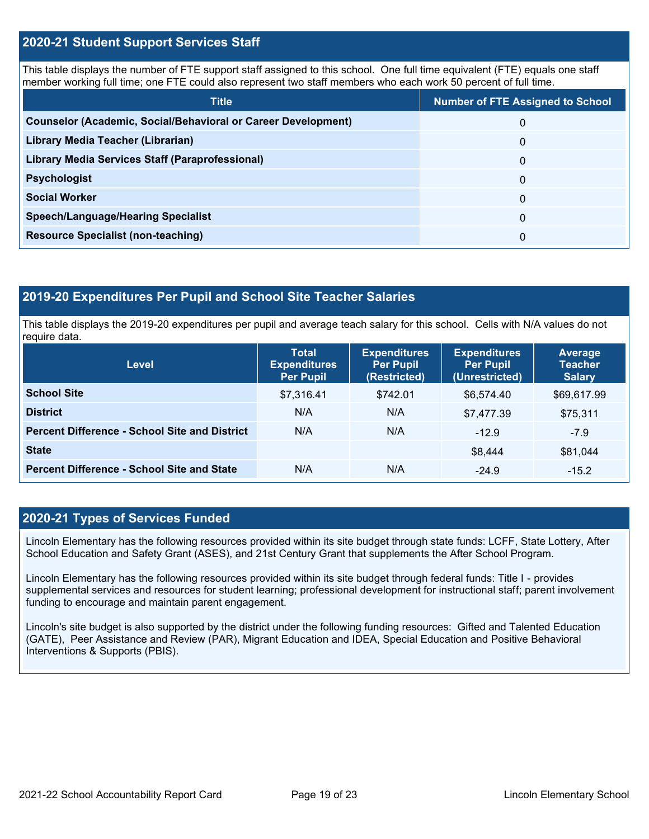#### **2020-21 Student Support Services Staff**

This table displays the number of FTE support staff assigned to this school. One full time equivalent (FTE) equals one staff member working full time; one FTE could also represent two staff members who each work 50 percent of full time.

| <b>Title</b>                                                         | <b>Number of FTE Assigned to School</b> |
|----------------------------------------------------------------------|-----------------------------------------|
| <b>Counselor (Academic, Social/Behavioral or Career Development)</b> | 0                                       |
| Library Media Teacher (Librarian)                                    | 0                                       |
| Library Media Services Staff (Paraprofessional)                      | 0                                       |
| <b>Psychologist</b>                                                  | 0                                       |
| <b>Social Worker</b>                                                 | $\Omega$                                |
| <b>Speech/Language/Hearing Specialist</b>                            | 0                                       |
| <b>Resource Specialist (non-teaching)</b>                            | 0                                       |

#### **2019-20 Expenditures Per Pupil and School Site Teacher Salaries**

This table displays the 2019-20 expenditures per pupil and average teach salary for this school. Cells with N/A values do not require data.

| Level                                                | <b>Total</b><br><b>Expenditures</b><br><b>Per Pupil</b> | <b>Expenditures</b><br><b>Per Pupil</b><br>(Restricted) | <b>Expenditures</b><br><b>Per Pupil</b><br>(Unrestricted) | <b>Average</b><br><b>Teacher</b><br><b>Salary</b> |
|------------------------------------------------------|---------------------------------------------------------|---------------------------------------------------------|-----------------------------------------------------------|---------------------------------------------------|
| <b>School Site</b>                                   | \$7,316.41                                              | \$742.01                                                | \$6,574.40                                                | \$69,617.99                                       |
| <b>District</b>                                      | N/A                                                     | N/A                                                     | \$7,477.39                                                | \$75,311                                          |
| <b>Percent Difference - School Site and District</b> | N/A                                                     | N/A                                                     | $-12.9$                                                   | $-7.9$                                            |
| <b>State</b>                                         |                                                         |                                                         | \$8,444                                                   | \$81,044                                          |
| <b>Percent Difference - School Site and State</b>    | N/A                                                     | N/A                                                     | $-24.9$                                                   | $-15.2$                                           |

### **2020-21 Types of Services Funded**

Lincoln Elementary has the following resources provided within its site budget through state funds: LCFF, State Lottery, After School Education and Safety Grant (ASES), and 21st Century Grant that supplements the After School Program.

Lincoln Elementary has the following resources provided within its site budget through federal funds: Title I - provides supplemental services and resources for student learning; professional development for instructional staff; parent involvement funding to encourage and maintain parent engagement.

Lincoln's site budget is also supported by the district under the following funding resources: Gifted and Talented Education (GATE), Peer Assistance and Review (PAR), Migrant Education and IDEA, Special Education and Positive Behavioral Interventions & Supports (PBIS).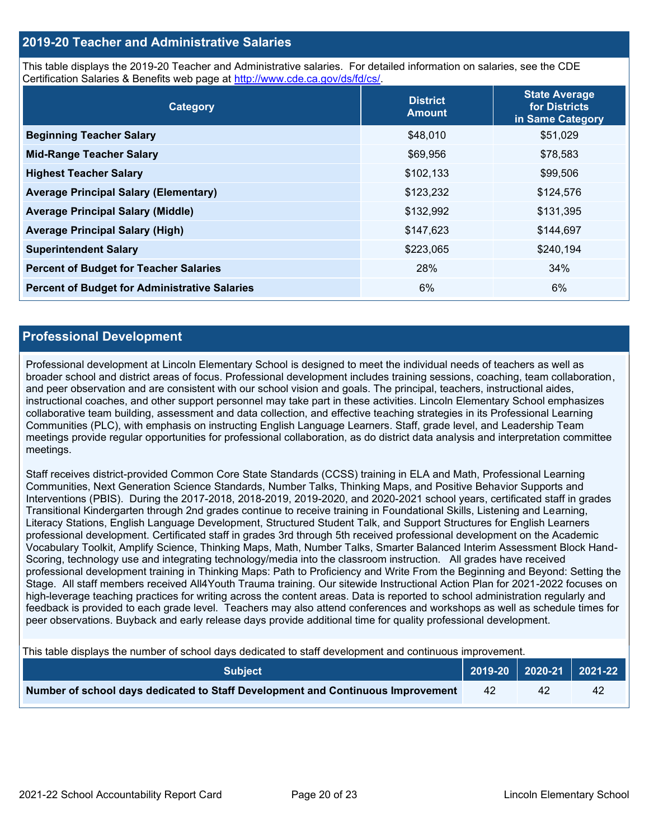#### **2019-20 Teacher and Administrative Salaries**

This table displays the 2019-20 Teacher and Administrative salaries. For detailed information on salaries, see the CDE Certification Salaries & Benefits web page at [http://www.cde.ca.gov/ds/fd/cs/.](http://www.cde.ca.gov/ds/fd/cs/)

| Category                                             | <b>District</b><br><b>Amount</b> | <b>State Average</b><br>for Districts<br>in Same Category |
|------------------------------------------------------|----------------------------------|-----------------------------------------------------------|
| <b>Beginning Teacher Salary</b>                      | \$48,010                         | \$51,029                                                  |
| <b>Mid-Range Teacher Salary</b>                      | \$69,956                         | \$78,583                                                  |
| <b>Highest Teacher Salary</b>                        | \$102,133                        | \$99,506                                                  |
| <b>Average Principal Salary (Elementary)</b>         | \$123,232                        | \$124,576                                                 |
| <b>Average Principal Salary (Middle)</b>             | \$132,992                        | \$131,395                                                 |
| <b>Average Principal Salary (High)</b>               | \$147,623                        | \$144,697                                                 |
| <b>Superintendent Salary</b>                         | \$223,065                        | \$240,194                                                 |
| <b>Percent of Budget for Teacher Salaries</b>        | 28%                              | 34%                                                       |
| <b>Percent of Budget for Administrative Salaries</b> | 6%                               | 6%                                                        |

#### **Professional Development**

Professional development at Lincoln Elementary School is designed to meet the individual needs of teachers as well as broader school and district areas of focus. Professional development includes training sessions, coaching, team collaboration, and peer observation and are consistent with our school vision and goals. The principal, teachers, instructional aides, instructional coaches, and other support personnel may take part in these activities. Lincoln Elementary School emphasizes collaborative team building, assessment and data collection, and effective teaching strategies in its Professional Learning Communities (PLC), with emphasis on instructing English Language Learners. Staff, grade level, and Leadership Team meetings provide regular opportunities for professional collaboration, as do district data analysis and interpretation committee meetings.

Staff receives district-provided Common Core State Standards (CCSS) training in ELA and Math, Professional Learning Communities, Next Generation Science Standards, Number Talks, Thinking Maps, and Positive Behavior Supports and Interventions (PBIS). During the 2017-2018, 2018-2019, 2019-2020, and 2020-2021 school years, certificated staff in grades Transitional Kindergarten through 2nd grades continue to receive training in Foundational Skills, Listening and Learning, Literacy Stations, English Language Development, Structured Student Talk, and Support Structures for English Learners professional development. Certificated staff in grades 3rd through 5th received professional development on the Academic Vocabulary Toolkit, Amplify Science, Thinking Maps, Math, Number Talks, Smarter Balanced Interim Assessment Block Hand-Scoring, technology use and integrating technology/media into the classroom instruction. All grades have received professional development training in Thinking Maps: Path to Proficiency and Write From the Beginning and Beyond: Setting the Stage. All staff members received All4Youth Trauma training. Our sitewide Instructional Action Plan for 2021-2022 focuses on high-leverage teaching practices for writing across the content areas. Data is reported to school administration regularly and feedback is provided to each grade level. Teachers may also attend conferences and workshops as well as schedule times for peer observations. Buyback and early release days provide additional time for quality professional development.

This table displays the number of school days dedicated to staff development and continuous improvement.

| <b>Subject</b>                                                                  |    | 2019-20   2020-21   2021-22 |    |
|---------------------------------------------------------------------------------|----|-----------------------------|----|
| Number of school days dedicated to Staff Development and Continuous Improvement | 42 |                             | 42 |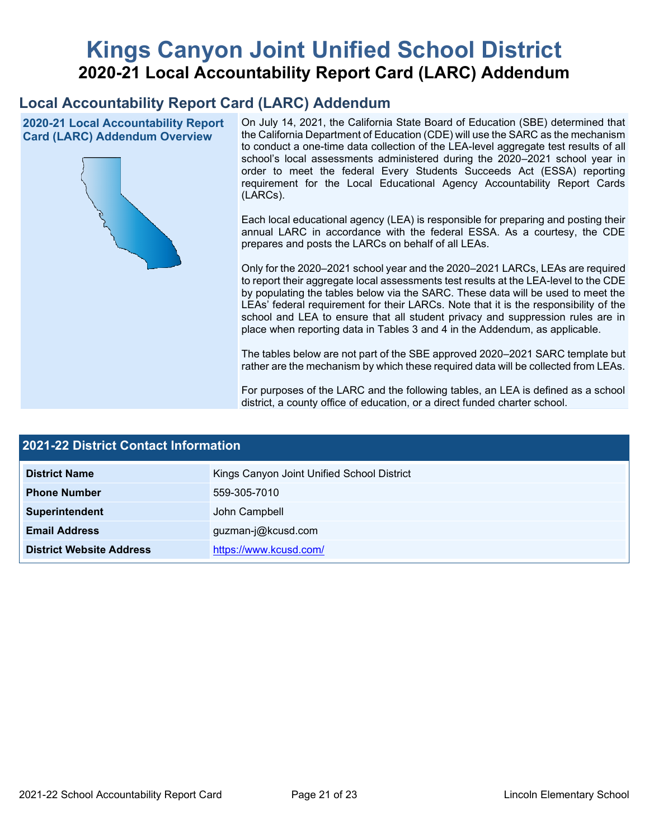# **Kings Canyon Joint Unified School District 2020-21 Local Accountability Report Card (LARC) Addendum**

# **Local Accountability Report Card (LARC) Addendum**

**2020-21 Local Accountability Report Card (LARC) Addendum Overview**



On July 14, 2021, the California State Board of Education (SBE) determined that the California Department of Education (CDE) will use the SARC as the mechanism to conduct a one-time data collection of the LEA-level aggregate test results of all school's local assessments administered during the 2020–2021 school year in order to meet the federal Every Students Succeeds Act (ESSA) reporting requirement for the Local Educational Agency Accountability Report Cards (LARCs).

Each local educational agency (LEA) is responsible for preparing and posting their annual LARC in accordance with the federal ESSA. As a courtesy, the CDE prepares and posts the LARCs on behalf of all LEAs.

Only for the 2020–2021 school year and the 2020–2021 LARCs, LEAs are required to report their aggregate local assessments test results at the LEA-level to the CDE by populating the tables below via the SARC. These data will be used to meet the LEAs' federal requirement for their LARCs. Note that it is the responsibility of the school and LEA to ensure that all student privacy and suppression rules are in place when reporting data in Tables 3 and 4 in the Addendum, as applicable.

The tables below are not part of the SBE approved 2020–2021 SARC template but rather are the mechanism by which these required data will be collected from LEAs.

For purposes of the LARC and the following tables, an LEA is defined as a school district, a county office of education, or a direct funded charter school.

| <b>2021-22 District Contact Information</b> |                                            |  |  |  |
|---------------------------------------------|--------------------------------------------|--|--|--|
| <b>District Name</b>                        | Kings Canyon Joint Unified School District |  |  |  |
| <b>Phone Number</b>                         | 559-305-7010                               |  |  |  |
| Superintendent                              | John Campbell                              |  |  |  |
| <b>Email Address</b>                        | guzman-j@kcusd.com                         |  |  |  |
| <b>District Website Address</b>             | https://www.kcusd.com/                     |  |  |  |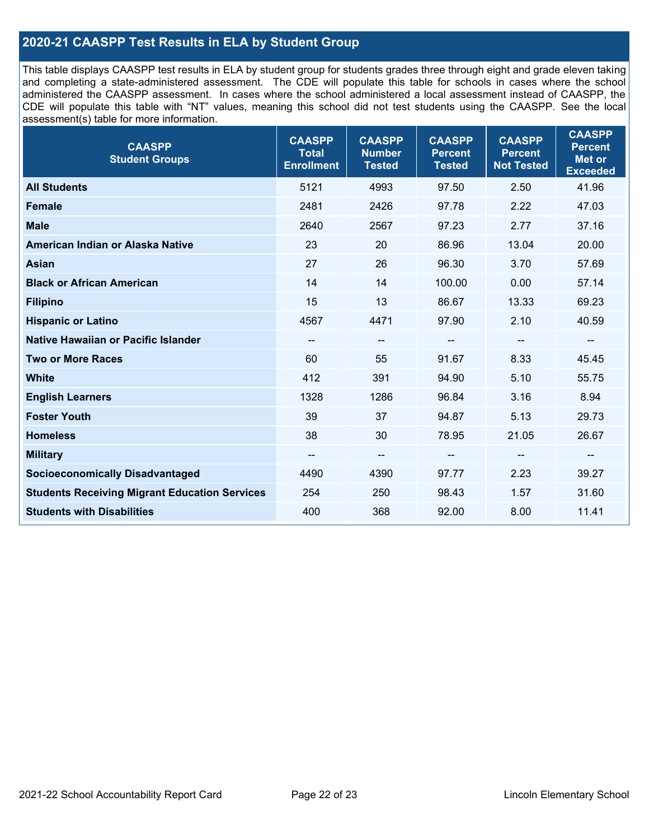### **2020-21 CAASPP Test Results in ELA by Student Group**

This table displays CAASPP test results in ELA by student group for students grades three through eight and grade eleven taking and completing a state-administered assessment. The CDE will populate this table for schools in cases where the school administered the CAASPP assessment. In cases where the school administered a local assessment instead of CAASPP, the CDE will populate this table with "NT" values, meaning this school did not test students using the CAASPP. See the local assessment(s) table for more information.

| <b>CAASPP</b><br><b>Student Groups</b>               | <b>CAASPP</b><br><b>Total</b><br><b>Enrollment</b> | <b>CAASPP</b><br><b>Number</b><br><b>Tested</b> | <b>CAASPP</b><br><b>Percent</b><br><b>Tested</b> | <b>CAASPP</b><br><b>Percent</b><br><b>Not Tested</b> | <b>CAASPP</b><br><b>Percent</b><br><b>Met or</b><br><b>Exceeded</b> |
|------------------------------------------------------|----------------------------------------------------|-------------------------------------------------|--------------------------------------------------|------------------------------------------------------|---------------------------------------------------------------------|
| <b>All Students</b>                                  | 5121                                               | 4993                                            | 97.50                                            | 2.50                                                 | 41.96                                                               |
| <b>Female</b>                                        | 2481                                               | 2426                                            | 97.78                                            | 2.22                                                 | 47.03                                                               |
| <b>Male</b>                                          | 2640                                               | 2567                                            | 97.23                                            | 2.77                                                 | 37.16                                                               |
| American Indian or Alaska Native                     | 23                                                 | 20                                              | 86.96                                            | 13.04                                                | 20.00                                                               |
| <b>Asian</b>                                         | 27                                                 | 26                                              | 96.30                                            | 3.70                                                 | 57.69                                                               |
| <b>Black or African American</b>                     | 14                                                 | 14                                              | 100.00                                           | 0.00                                                 | 57.14                                                               |
| <b>Filipino</b>                                      | 15                                                 | 13                                              | 86.67                                            | 13.33                                                | 69.23                                                               |
| <b>Hispanic or Latino</b>                            | 4567                                               | 4471                                            | 97.90                                            | 2.10                                                 | 40.59                                                               |
| <b>Native Hawaiian or Pacific Islander</b>           | --                                                 | $\overline{\phantom{a}}$                        | --                                               | $\overline{\phantom{a}}$                             | --                                                                  |
| <b>Two or More Races</b>                             | 60                                                 | 55                                              | 91.67                                            | 8.33                                                 | 45.45                                                               |
| <b>White</b>                                         | 412                                                | 391                                             | 94.90                                            | 5.10                                                 | 55.75                                                               |
| <b>English Learners</b>                              | 1328                                               | 1286                                            | 96.84                                            | 3.16                                                 | 8.94                                                                |
| <b>Foster Youth</b>                                  | 39                                                 | 37                                              | 94.87                                            | 5.13                                                 | 29.73                                                               |
| <b>Homeless</b>                                      | 38                                                 | 30                                              | 78.95                                            | 21.05                                                | 26.67                                                               |
| <b>Military</b>                                      | --                                                 | --                                              | --                                               | --                                                   | $\overline{\phantom{m}}$                                            |
| <b>Socioeconomically Disadvantaged</b>               | 4490                                               | 4390                                            | 97.77                                            | 2.23                                                 | 39.27                                                               |
| <b>Students Receiving Migrant Education Services</b> | 254                                                | 250                                             | 98.43                                            | 1.57                                                 | 31.60                                                               |
| <b>Students with Disabilities</b>                    | 400                                                | 368                                             | 92.00                                            | 8.00                                                 | 11.41                                                               |